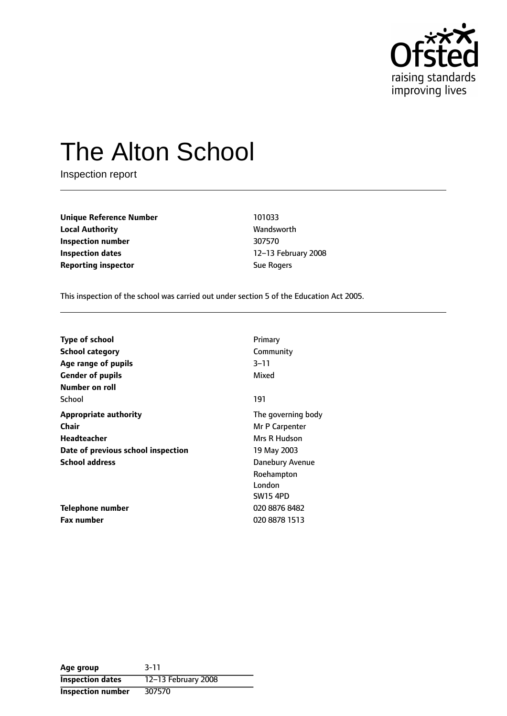

# The Alton School

Inspection report

**Unique Reference Number** 101033 **Local Authority Wandsworth Inspection number** 307570 **Inspection dates** 12-13 February 2008 **Reporting inspector Sue Rogers** Sue Rogers

This inspection of the school was carried out under section 5 of the Education Act 2005.

| <b>Type of school</b>              | Primary            |
|------------------------------------|--------------------|
| <b>School category</b>             | Community          |
| Age range of pupils                | $3 - 11$           |
| <b>Gender of pupils</b>            | Mixed              |
| Number on roll                     |                    |
| School                             | 191                |
| <b>Appropriate authority</b>       | The governing body |
| Chair                              | Mr P Carpenter     |
| Headteacher                        | Mrs R Hudson       |
| Date of previous school inspection | 19 May 2003        |
| <b>School address</b>              | Danebury Avenue    |
|                                    | Roehampton         |
|                                    | London             |
|                                    | <b>SW15 4PD</b>    |
| Telephone number                   | 020 8876 8482      |
| <b>Fax number</b>                  | 020 8878 1513      |

| Age group                | $3 - 11$            |
|--------------------------|---------------------|
| <b>Inspection dates</b>  | 12-13 February 2008 |
| <b>Inspection number</b> | 307570              |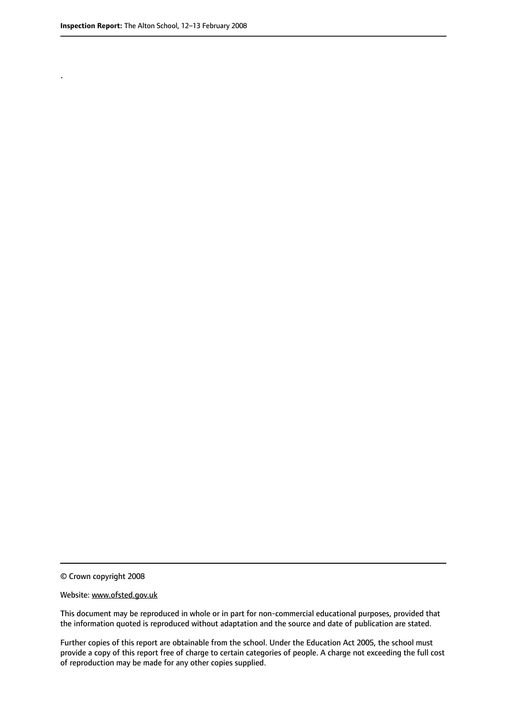.

© Crown copyright 2008

#### Website: www.ofsted.gov.uk

This document may be reproduced in whole or in part for non-commercial educational purposes, provided that the information quoted is reproduced without adaptation and the source and date of publication are stated.

Further copies of this report are obtainable from the school. Under the Education Act 2005, the school must provide a copy of this report free of charge to certain categories of people. A charge not exceeding the full cost of reproduction may be made for any other copies supplied.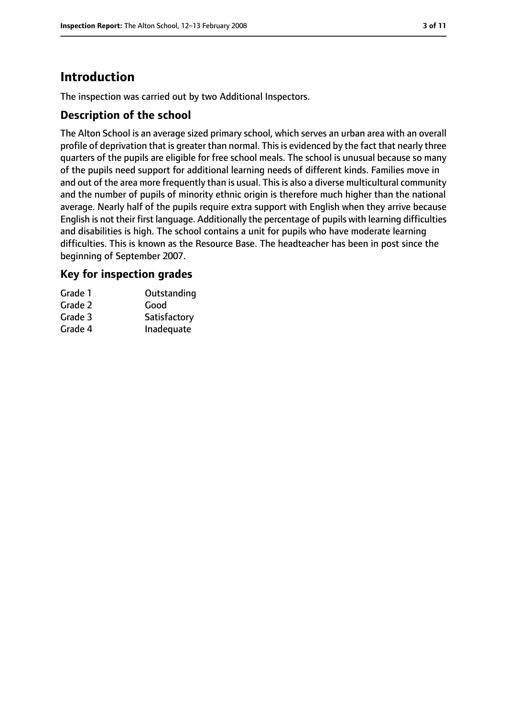# **Introduction**

The inspection was carried out by two Additional Inspectors.

## **Description of the school**

The Alton School is an average sized primary school, which serves an urban area with an overall profile of deprivation that is greater than normal. This is evidenced by the fact that nearly three quarters of the pupils are eligible for free school meals. The school is unusual because so many of the pupils need support for additional learning needs of different kinds. Families move in and out of the area more frequently than is usual. This is also a diverse multicultural community and the number of pupils of minority ethnic origin is therefore much higher than the national average. Nearly half of the pupils require extra support with English when they arrive because English is not their first language. Additionally the percentage of pupils with learning difficulties and disabilities is high. The school contains a unit for pupils who have moderate learning difficulties. This is known as the Resource Base. The headteacher has been in post since the beginning of September 2007.

## **Key for inspection grades**

| Grade 1 | Outstanding  |
|---------|--------------|
| Grade 2 | Good         |
| Grade 3 | Satisfactory |
| Grade 4 | Inadequate   |
|         |              |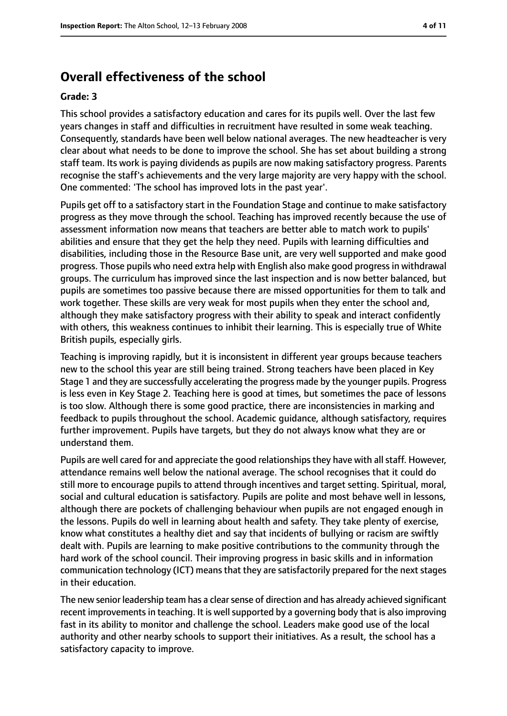# **Overall effectiveness of the school**

#### **Grade: 3**

This school provides a satisfactory education and cares for its pupils well. Over the last few years changes in staff and difficulties in recruitment have resulted in some weak teaching. Consequently, standards have been well below national averages. The new headteacher is very clear about what needs to be done to improve the school. She has set about building a strong staff team. Its work is paying dividends as pupils are now making satisfactory progress. Parents recognise the staff's achievements and the very large majority are very happy with the school. One commented: 'The school has improved lots in the past year'.

Pupils get off to a satisfactory start in the Foundation Stage and continue to make satisfactory progress as they move through the school. Teaching has improved recently because the use of assessment information now means that teachers are better able to match work to pupils' abilities and ensure that they get the help they need. Pupils with learning difficulties and disabilities, including those in the Resource Base unit, are very well supported and make good progress. Those pupils who need extra help with English also make good progressin withdrawal groups. The curriculum has improved since the last inspection and is now better balanced, but pupils are sometimes too passive because there are missed opportunities for them to talk and work together. These skills are very weak for most pupils when they enter the school and, although they make satisfactory progress with their ability to speak and interact confidently with others, this weakness continues to inhibit their learning. This is especially true of White British pupils, especially girls.

Teaching is improving rapidly, but it is inconsistent in different year groups because teachers new to the school this year are still being trained. Strong teachers have been placed in Key Stage 1 and they are successfully accelerating the progress made by the younger pupils. Progress is less even in Key Stage 2. Teaching here is good at times, but sometimes the pace of lessons is too slow. Although there is some good practice, there are inconsistencies in marking and feedback to pupils throughout the school. Academic guidance, although satisfactory, requires further improvement. Pupils have targets, but they do not always know what they are or understand them.

Pupils are well cared for and appreciate the good relationships they have with all staff. However, attendance remains well below the national average. The school recognises that it could do still more to encourage pupils to attend through incentives and target setting. Spiritual, moral, social and cultural education is satisfactory. Pupils are polite and most behave well in lessons, although there are pockets of challenging behaviour when pupils are not engaged enough in the lessons. Pupils do well in learning about health and safety. They take plenty of exercise, know what constitutes a healthy diet and say that incidents of bullying or racism are swiftly dealt with. Pupils are learning to make positive contributions to the community through the hard work of the school council. Their improving progress in basic skills and in information communication technology (ICT) means that they are satisfactorily prepared for the next stages in their education.

The new senior leadership team has a clear sense of direction and has already achieved significant recent improvements in teaching. It is well supported by a governing body that is also improving fast in its ability to monitor and challenge the school. Leaders make good use of the local authority and other nearby schools to support their initiatives. As a result, the school has a satisfactory capacity to improve.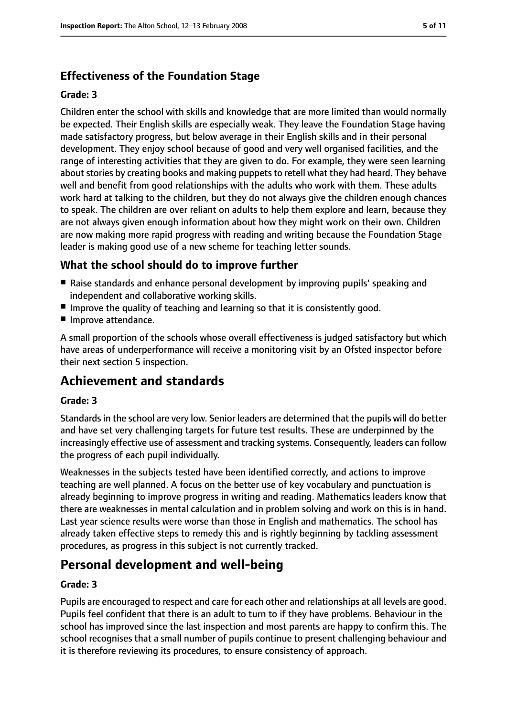# **Effectiveness of the Foundation Stage**

#### **Grade: 3**

Children enter the school with skills and knowledge that are more limited than would normally be expected. Their English skills are especially weak. They leave the Foundation Stage having made satisfactory progress, but below average in their English skills and in their personal development. They enjoy school because of good and very well organised facilities, and the range of interesting activities that they are given to do. For example, they were seen learning about stories by creating books and making puppets to retell what they had heard. They behave well and benefit from good relationships with the adults who work with them. These adults work hard at talking to the children, but they do not always give the children enough chances to speak. The children are over reliant on adults to help them explore and learn, because they are not always given enough information about how they might work on their own. Children are now making more rapid progress with reading and writing because the Foundation Stage leader is making good use of a new scheme for teaching letter sounds.

## **What the school should do to improve further**

- Raise standards and enhance personal development by improving pupils' speaking and independent and collaborative working skills.
- Improve the quality of teaching and learning so that it is consistently good.
- Improve attendance.

A small proportion of the schools whose overall effectiveness is judged satisfactory but which have areas of underperformance will receive a monitoring visit by an Ofsted inspector before their next section 5 inspection.

# **Achievement and standards**

#### **Grade: 3**

Standards in the school are very low. Senior leaders are determined that the pupils will do better and have set very challenging targets for future test results. These are underpinned by the increasingly effective use of assessment and tracking systems. Consequently, leaders can follow the progress of each pupil individually.

Weaknesses in the subjects tested have been identified correctly, and actions to improve teaching are well planned. A focus on the better use of key vocabulary and punctuation is already beginning to improve progress in writing and reading. Mathematics leaders know that there are weaknesses in mental calculation and in problem solving and work on this is in hand. Last year science results were worse than those in English and mathematics. The school has already taken effective steps to remedy this and is rightly beginning by tackling assessment procedures, as progress in this subject is not currently tracked.

# **Personal development and well-being**

#### **Grade: 3**

Pupils are encouraged to respect and care for each other and relationships at all levels are good. Pupils feel confident that there is an adult to turn to if they have problems. Behaviour in the school has improved since the last inspection and most parents are happy to confirm this. The school recognises that a small number of pupils continue to present challenging behaviour and it is therefore reviewing its procedures, to ensure consistency of approach.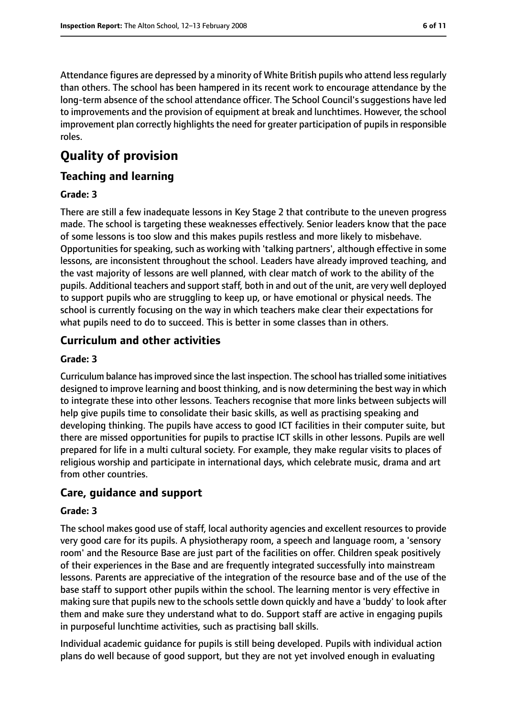Attendance figures are depressed by a minority of White British pupils who attend lessregularly than others. The school has been hampered in its recent work to encourage attendance by the long-term absence of the school attendance officer. The School Council's suggestions have led to improvements and the provision of equipment at break and lunchtimes. However, the school improvement plan correctly highlights the need for greater participation of pupils in responsible roles.

# **Quality of provision**

## **Teaching and learning**

#### **Grade: 3**

There are still a few inadequate lessons in Key Stage 2 that contribute to the uneven progress made. The school is targeting these weaknesses effectively. Senior leaders know that the pace of some lessons is too slow and this makes pupils restless and more likely to misbehave. Opportunities for speaking, such as working with 'talking partners', although effective in some lessons, are inconsistent throughout the school. Leaders have already improved teaching, and the vast majority of lessons are well planned, with clear match of work to the ability of the pupils. Additional teachers and support staff, both in and out of the unit, are very well deployed to support pupils who are struggling to keep up, or have emotional or physical needs. The school is currently focusing on the way in which teachers make clear their expectations for what pupils need to do to succeed. This is better in some classes than in others.

## **Curriculum and other activities**

#### **Grade: 3**

Curriculum balance hasimproved since the last inspection. The school hastrialled some initiatives designed to improve learning and boost thinking, and is now determining the best way in which to integrate these into other lessons. Teachers recognise that more links between subjects will help give pupils time to consolidate their basic skills, as well as practising speaking and developing thinking. The pupils have access to good ICT facilities in their computer suite, but there are missed opportunities for pupils to practise ICT skills in other lessons. Pupils are well prepared for life in a multi cultural society. For example, they make regular visits to places of religious worship and participate in international days, which celebrate music, drama and art from other countries.

## **Care, guidance and support**

#### **Grade: 3**

The school makes good use of staff, local authority agencies and excellent resources to provide very good care for its pupils. A physiotherapy room, a speech and language room, a 'sensory room' and the Resource Base are just part of the facilities on offer. Children speak positively of their experiences in the Base and are frequently integrated successfully into mainstream lessons. Parents are appreciative of the integration of the resource base and of the use of the base staff to support other pupils within the school. The learning mentor is very effective in making sure that pupils new to the schools settle down quickly and have a 'buddy' to look after them and make sure they understand what to do. Support staff are active in engaging pupils in purposeful lunchtime activities, such as practising ball skills.

Individual academic guidance for pupils is still being developed. Pupils with individual action plans do well because of good support, but they are not yet involved enough in evaluating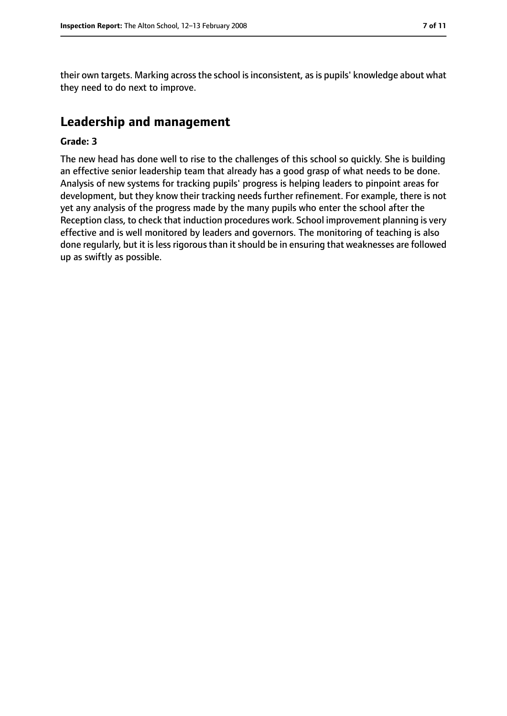their own targets. Marking across the school is inconsistent, as is pupils' knowledge about what they need to do next to improve.

# **Leadership and management**

#### **Grade: 3**

The new head has done well to rise to the challenges of this school so quickly. She is building an effective senior leadership team that already has a good grasp of what needs to be done. Analysis of new systems for tracking pupils' progress is helping leaders to pinpoint areas for development, but they know their tracking needs further refinement. For example, there is not yet any analysis of the progress made by the many pupils who enter the school after the Reception class, to check that induction procedures work. School improvement planning is very effective and is well monitored by leaders and governors. The monitoring of teaching is also done regularly, but it is less rigorous than it should be in ensuring that weaknesses are followed up as swiftly as possible.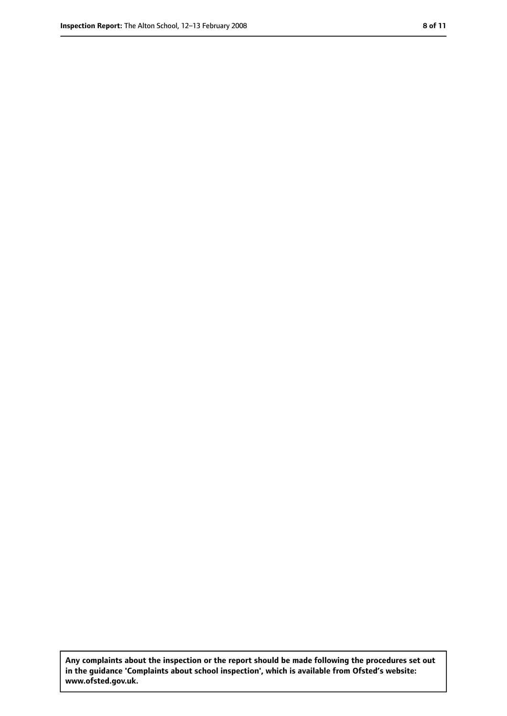**Any complaints about the inspection or the report should be made following the procedures set out in the guidance 'Complaints about school inspection', which is available from Ofsted's website: www.ofsted.gov.uk.**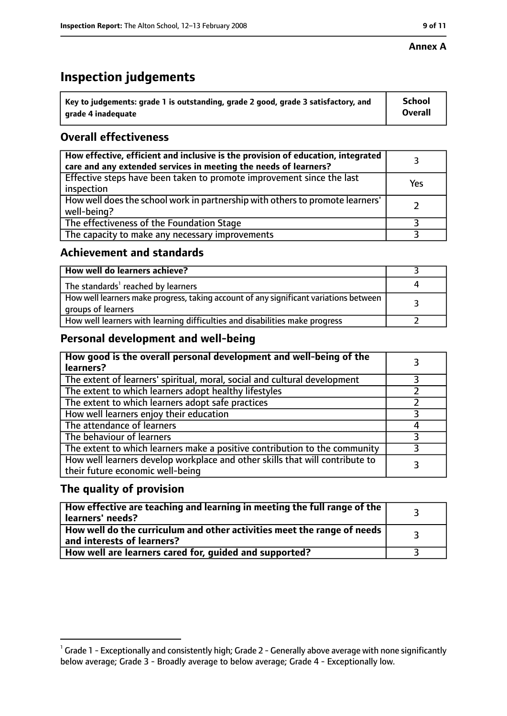#### **Annex A**

# **Inspection judgements**

| $^{\backprime}$ Key to judgements: grade 1 is outstanding, grade 2 good, grade 3 satisfactory, and | <b>School</b>  |
|----------------------------------------------------------------------------------------------------|----------------|
| arade 4 inadequate                                                                                 | <b>Overall</b> |

# **Overall effectiveness**

| How effective, efficient and inclusive is the provision of education, integrated<br>care and any extended services in meeting the needs of learners? |     |
|------------------------------------------------------------------------------------------------------------------------------------------------------|-----|
| Effective steps have been taken to promote improvement since the last<br>inspection                                                                  | Yes |
| How well does the school work in partnership with others to promote learners'<br>well-being?                                                         |     |
| The effectiveness of the Foundation Stage                                                                                                            |     |
| The capacity to make any necessary improvements                                                                                                      |     |

## **Achievement and standards**

| How well do learners achieve?                                                                               |  |
|-------------------------------------------------------------------------------------------------------------|--|
| The standards <sup>1</sup> reached by learners                                                              |  |
| How well learners make progress, taking account of any significant variations between<br>groups of learners |  |
| How well learners with learning difficulties and disabilities make progress                                 |  |

# **Personal development and well-being**

| How good is the overall personal development and well-being of the<br>learners?                                  |  |
|------------------------------------------------------------------------------------------------------------------|--|
| The extent of learners' spiritual, moral, social and cultural development                                        |  |
| The extent to which learners adopt healthy lifestyles                                                            |  |
| The extent to which learners adopt safe practices                                                                |  |
| How well learners enjoy their education                                                                          |  |
| The attendance of learners                                                                                       |  |
| The behaviour of learners                                                                                        |  |
| The extent to which learners make a positive contribution to the community                                       |  |
| How well learners develop workplace and other skills that will contribute to<br>their future economic well-being |  |

# **The quality of provision**

| How effective are teaching and learning in meeting the full range of the<br>learners' needs?          |  |
|-------------------------------------------------------------------------------------------------------|--|
| How well do the curriculum and other activities meet the range of needs<br>and interests of learners? |  |
| How well are learners cared for, guided and supported?                                                |  |

 $^1$  Grade 1 - Exceptionally and consistently high; Grade 2 - Generally above average with none significantly below average; Grade 3 - Broadly average to below average; Grade 4 - Exceptionally low.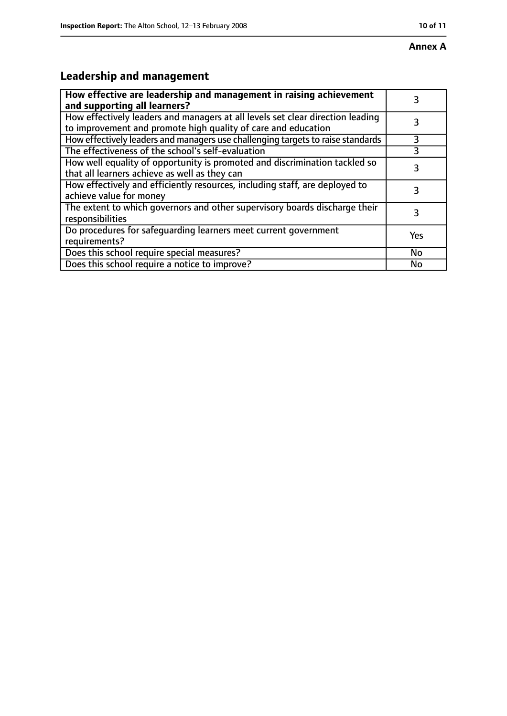# **Annex A**

# **Leadership and management**

| How effective are leadership and management in raising achievement<br>and supporting all learners?                                              | 3   |
|-------------------------------------------------------------------------------------------------------------------------------------------------|-----|
| How effectively leaders and managers at all levels set clear direction leading<br>to improvement and promote high quality of care and education |     |
| How effectively leaders and managers use challenging targets to raise standards                                                                 | 3   |
| The effectiveness of the school's self-evaluation                                                                                               |     |
| How well equality of opportunity is promoted and discrimination tackled so<br>that all learners achieve as well as they can                     | 3   |
| How effectively and efficiently resources, including staff, are deployed to<br>achieve value for money                                          | 3   |
| The extent to which governors and other supervisory boards discharge their<br>responsibilities                                                  | 3   |
| Do procedures for safequarding learners meet current government<br>requirements?                                                                | Yes |
| Does this school require special measures?                                                                                                      | No  |
| Does this school require a notice to improve?                                                                                                   | No  |